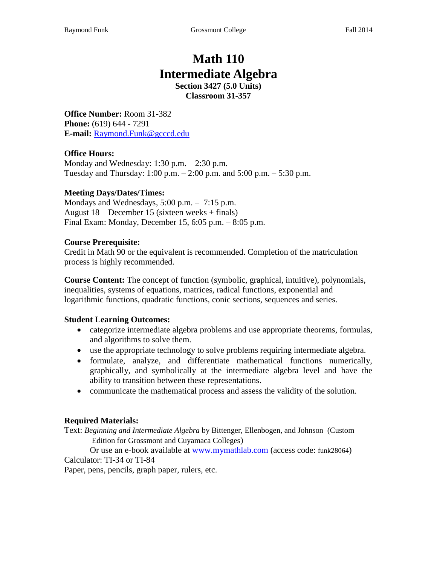# **Math 110 Intermediate Algebra Section 3427 (5.0 Units)**

**Classroom 31-357**

**Office Number:** Room 31-382 **Phone:** (619) 644 - 7291 **E-mail:** Raymond.Funk@gcccd.edu

### **Office Hours:**

Monday and Wednesday: 1:30 p.m. – 2:30 p.m. Tuesday and Thursday: 1:00 p.m. – 2:00 p.m. and 5:00 p.m. – 5:30 p.m.

### **Meeting Days/Dates/Times:**

Mondays and Wednesdays, 5:00 p.m. – 7:15 p.m. August 18 – December 15 (sixteen weeks + finals) Final Exam: Monday, December 15, 6:05 p.m. – 8:05 p.m.

### **Course Prerequisite:**

Credit in Math 90 or the equivalent is recommended. Completion of the matriculation process is highly recommended.

**Course Content:** The concept of function (symbolic, graphical, intuitive), polynomials, inequalities, systems of equations, matrices, radical functions, exponential and logarithmic functions, quadratic functions, conic sections, sequences and series.

### **Student Learning Outcomes:**

- categorize intermediate algebra problems and use appropriate theorems, formulas, and algorithms to solve them.
- use the appropriate technology to solve problems requiring intermediate algebra.
- formulate, analyze, and differentiate mathematical functions numerically, graphically, and symbolically at the intermediate algebra level and have the ability to transition between these representations.
- communicate the mathematical process and assess the validity of the solution.

## **Required Materials:**

Text: *Beginning and Intermediate Algebra* by Bittenger, Ellenbogen, and Johnson (Custom Edition for Grossmont and Cuyamaca Colleges)

Or use an e-book available at [www.mymathlab.com](http://www.mymathlab.com/) (access code: funk28064) Calculator: TI-34 or TI-84

Paper, pens, pencils, graph paper, rulers, etc.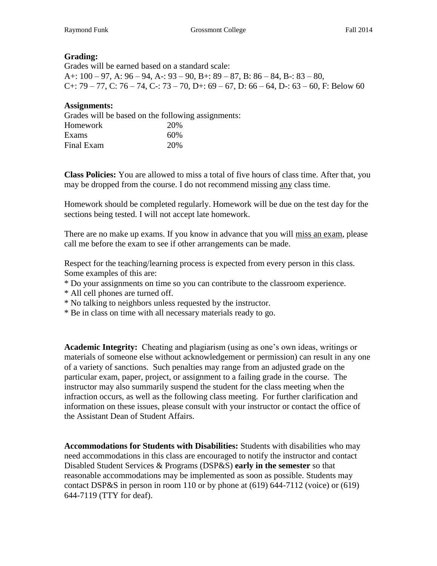### **Grading:**

Grades will be earned based on a standard scale: A+:  $100 - 97$ , A:  $96 - 94$ , A -:  $93 - 90$ , B +:  $89 - 87$ , B:  $86 - 84$ , B -:  $83 - 80$ , C+:  $79 - 77$ , C:  $76 - 74$ , C-:  $73 - 70$ , D+:  $69 - 67$ , D:  $66 - 64$ , D-:  $63 - 60$ , F: Below 60

#### **Assignments:**

| Grades will be based on the following assignments: |     |  |  |  |
|----------------------------------------------------|-----|--|--|--|
| Homework                                           | 20% |  |  |  |
| Exams                                              | 60% |  |  |  |
| Final Exam                                         | 20% |  |  |  |

**Class Policies:** You are allowed to miss a total of five hours of class time. After that, you may be dropped from the course. I do not recommend missing any class time.

Homework should be completed regularly. Homework will be due on the test day for the sections being tested. I will not accept late homework.

There are no make up exams. If you know in advance that you will miss an exam, please call me before the exam to see if other arrangements can be made.

Respect for the teaching/learning process is expected from every person in this class. Some examples of this are:

- \* Do your assignments on time so you can contribute to the classroom experience.
- \* All cell phones are turned off.
- \* No talking to neighbors unless requested by the instructor.
- \* Be in class on time with all necessary materials ready to go.

**Academic Integrity:** Cheating and plagiarism (using as one's own ideas, writings or materials of someone else without acknowledgement or permission) can result in any one of a variety of sanctions. Such penalties may range from an adjusted grade on the particular exam, paper, project, or assignment to a failing grade in the course. The instructor may also summarily suspend the student for the class meeting when the infraction occurs, as well as the following class meeting. For further clarification and information on these issues, please consult with your instructor or contact the office of the Assistant Dean of Student Affairs.

**Accommodations for Students with Disabilities:** Students with disabilities who may need accommodations in this class are encouraged to notify the instructor and contact Disabled Student Services & Programs (DSP&S) **early in the semester** so that reasonable accommodations may be implemented as soon as possible. Students may contact DSP&S in person in room 110 or by phone at (619) 644-7112 (voice) or (619) 644-7119 (TTY for deaf).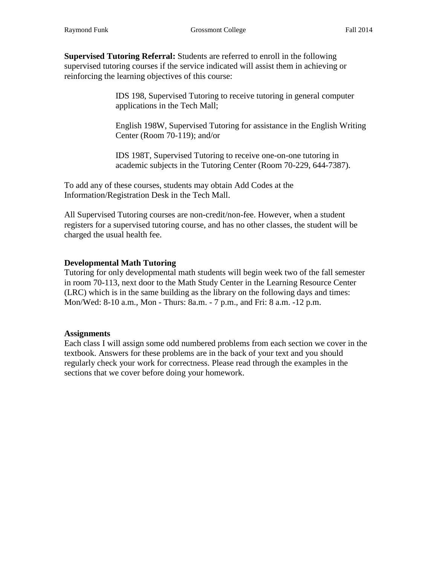**Supervised Tutoring Referral:** Students are referred to enroll in the following supervised tutoring courses if the service indicated will assist them in achieving or reinforcing the learning objectives of this course:

> IDS 198, Supervised Tutoring to receive tutoring in general computer applications in the Tech Mall;

English 198W, Supervised Tutoring for assistance in the English Writing Center (Room 70-119); and/or

IDS 198T, Supervised Tutoring to receive one-on-one tutoring in academic subjects in the Tutoring Center (Room 70-229, 644-7387).

To add any of these courses, students may obtain Add Codes at the Information/Registration Desk in the Tech Mall.

All Supervised Tutoring courses are non-credit/non-fee. However, when a student registers for a supervised tutoring course, and has no other classes, the student will be charged the usual health fee.

### **Developmental Math Tutoring**

Tutoring for only developmental math students will begin week two of the fall semester in room 70-113, next door to the Math Study Center in the Learning Resource Center (LRC) which is in the same building as the library on the following days and times: Mon/Wed: 8-10 a.m., Mon - Thurs: 8a.m. - 7 p.m., and Fri: 8 a.m. -12 p.m.

### **Assignments**

Each class I will assign some odd numbered problems from each section we cover in the textbook. Answers for these problems are in the back of your text and you should regularly check your work for correctness. Please read through the examples in the sections that we cover before doing your homework.